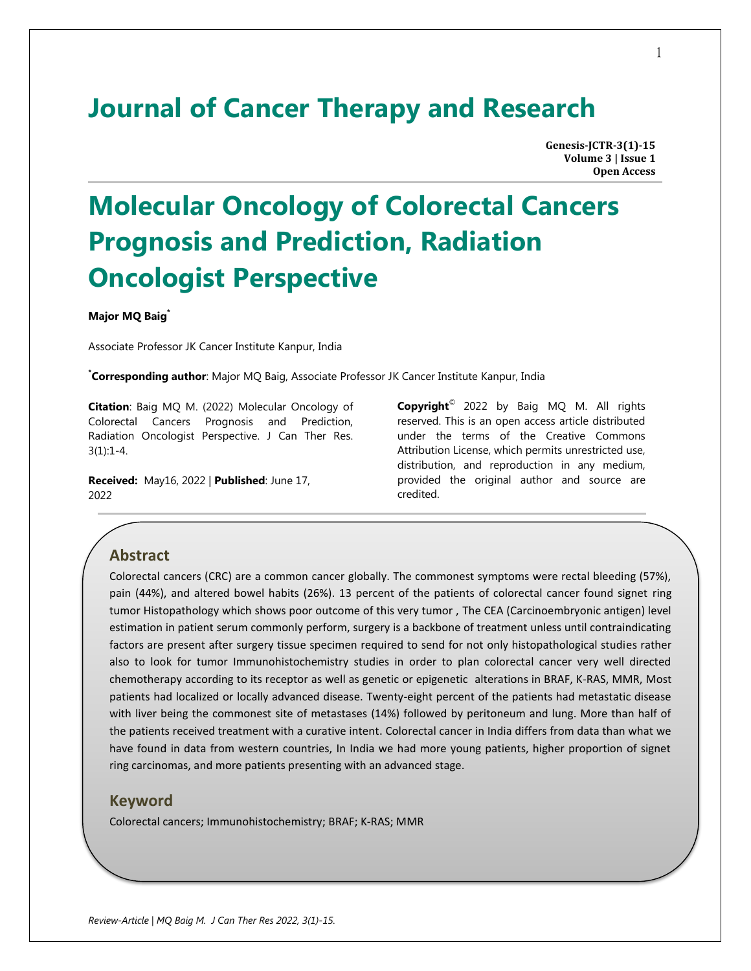## **Journal of Cancer Therapy and Research**

**Genesis-JCTR-3(1)-15 Volume 3 | Issue 1 Open Access**

# **Molecular Oncology of Colorectal Cancers Prognosis and Prediction, Radiation Oncologist Perspective**

**Major MQ Baig\***

Associate Professor JK Cancer Institute Kanpur, India

**\* Corresponding author**: Major MQ Baig, Associate Professor JK Cancer Institute Kanpur, India

**Citation**: Baig MQ M. (2022) Molecular Oncology of Colorectal Cancers Prognosis and Prediction, Radiation Oncologist Perspective. J Can Ther Res.  $3(1):1-4.$ 

**Received:** May16, 2022 | **Published**: June 17, 2022

**Copyright**© 2022 by Baig MQ M. All rights reserved. This is an open access article distributed under the terms of the Creative Commons Attribution License, which permits unrestricted use, distribution, and reproduction in any medium, provided the original author and source are credited.

### **Abstract**

Colorectal cancers (CRC) are a common cancer globally. The commonest symptoms were rectal bleeding (57%), pain (44%), and altered bowel habits (26%). 13 percent of the patients of colorectal cancer found signet ring tumor Histopathology which shows poor outcome of this very tumor , The CEA (Carcinoembryonic antigen) level estimation in patient serum commonly perform, surgery is a backbone of treatment unless until contraindicating factors are present after surgery tissue specimen required to send for not only histopathological studies rather also to look for tumor Immunohistochemistry studies in order to plan colorectal cancer very well directed chemotherapy according to its receptor as well as genetic or epigenetic alterations in BRAF, K-RAS, MMR, Most patients had localized or locally advanced disease. Twenty-eight percent of the patients had metastatic disease with liver being the commonest site of metastases (14%) followed by peritoneum and lung. More than half of the patients received treatment with a curative intent. Colorectal cancer in India differs from data than what we have found in data from western countries, In India we had more young patients, higher proportion of signet ring carcinomas, and more patients presenting with an advanced stage.

#### **Keyword**

Colorectal cancers; Immunohistochemistry; BRAF; K-RAS; MMR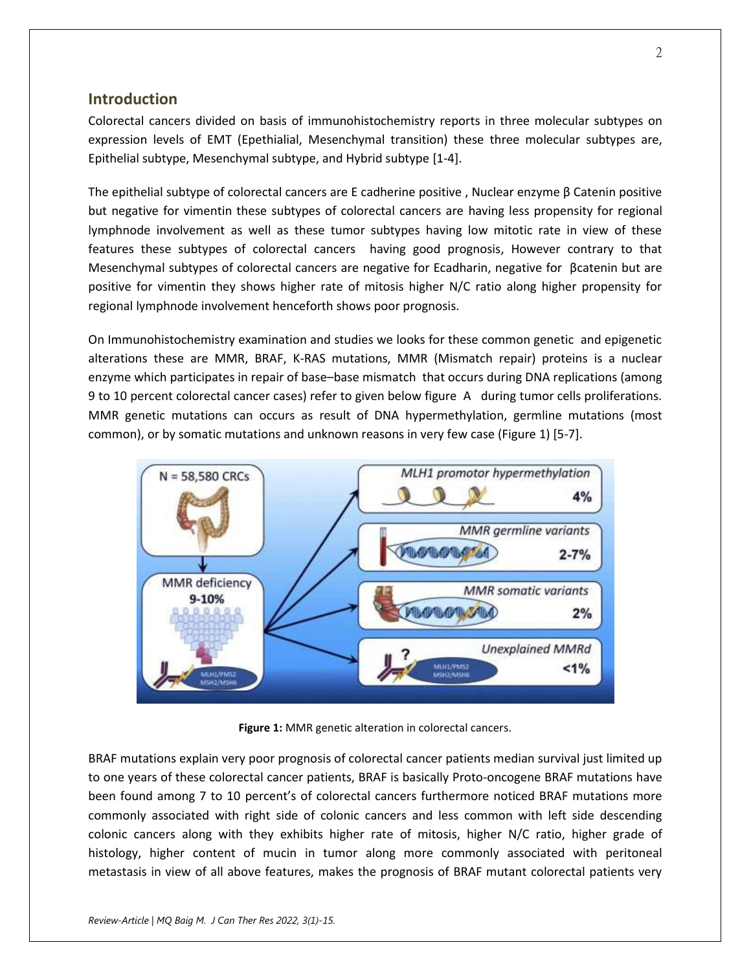#### **Introduction**

Colorectal cancers divided on basis of immunohistochemistry reports in three molecular subtypes on expression levels of EMT (Epethialial, Mesenchymal transition) these three molecular subtypes are, Epithelial subtype, Mesenchymal subtype, and Hybrid subtype [1-4].

The epithelial subtype of colorectal cancers are E cadherine positive , Nuclear enzyme β Catenin positive but negative for vimentin these subtypes of colorectal cancers are having less propensity for regional lymphnode involvement as well as these tumor subtypes having low mitotic rate in view of these features these subtypes of colorectal cancers having good prognosis, However contrary to that Mesenchymal subtypes of colorectal cancers are negative for Ecadharin, negative for βcatenin but are positive for vimentin they shows higher rate of mitosis higher N/C ratio along higher propensity for regional lymphnode involvement henceforth shows poor prognosis.

On Immunohistochemistry examination and studies we looks for these common genetic and epigenetic alterations these are MMR, BRAF, K-RAS mutations, MMR (Mismatch repair) proteins is a nuclear enzyme which participates in repair of base–base mismatch that occurs during DNA replications (among 9 to 10 percent colorectal cancer cases) refer to given below figure A during tumor cells proliferations. MMR genetic mutations can occurs as result of DNA hypermethylation, germline mutations (most common), or by somatic mutations and unknown reasons in very few case (Figure 1) [5-7].



**Figure 1:** MMR genetic alteration in colorectal cancers.

BRAF mutations explain very poor prognosis of colorectal cancer patients median survival just limited up to one years of these colorectal cancer patients, BRAF is basically Proto-oncogene BRAF mutations have been found among 7 to 10 percent's of colorectal cancers furthermore noticed BRAF mutations more commonly associated with right side of colonic cancers and less common with left side descending colonic cancers along with they exhibits higher rate of mitosis, higher N/C ratio, higher grade of histology, higher content of mucin in tumor along more commonly associated with peritoneal metastasis in view of all above features, makes the prognosis of BRAF mutant colorectal patients very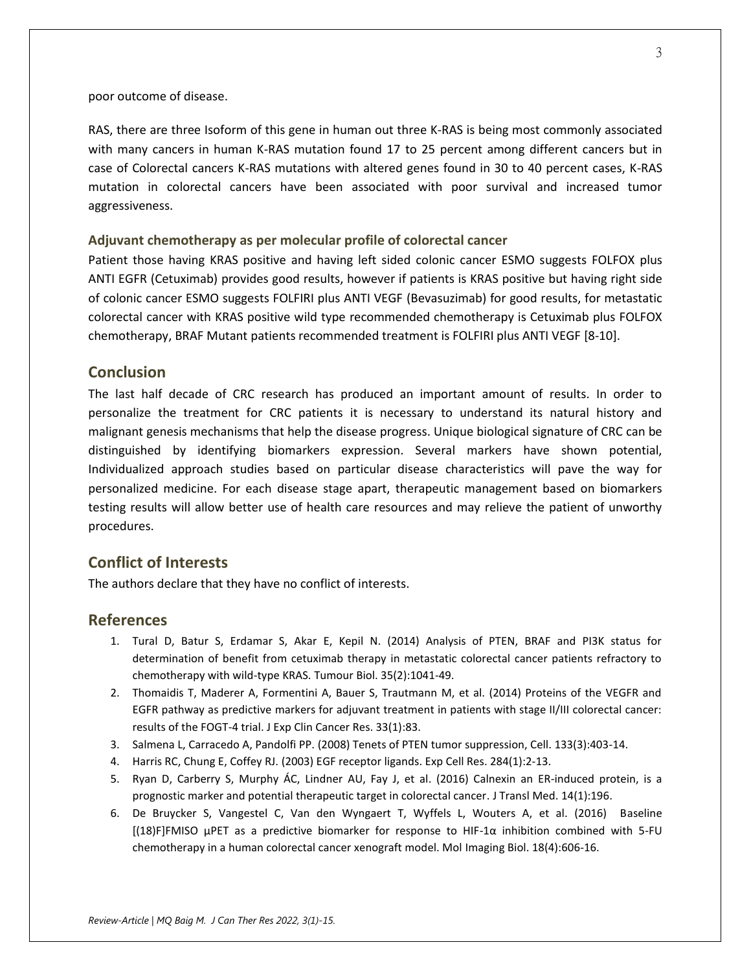poor outcome of disease.

RAS, there are three Isoform of this gene in human out three K-RAS is being most commonly associated with many cancers in human K-RAS mutation found 17 to 25 percent among different cancers but in case of Colorectal cancers K-RAS mutations with altered genes found in 30 to 40 percent cases, K-RAS mutation in colorectal cancers have been associated with poor survival and increased tumor aggressiveness.

#### **Adjuvant chemotherapy as per molecular profile of colorectal cancer**

Patient those having KRAS positive and having left sided colonic cancer ESMO suggests FOLFOX plus ANTI EGFR (Cetuximab) provides good results, however if patients is KRAS positive but having right side of colonic cancer ESMO suggests FOLFIRI plus ANTI VEGF (Bevasuzimab) for good results, for metastatic colorectal cancer with KRAS positive wild type recommended chemotherapy is Cetuximab plus FOLFOX chemotherapy, BRAF Mutant patients recommended treatment is FOLFIRI plus ANTI VEGF [8-10].

#### **Conclusion**

The last half decade of CRC research has produced an important amount of results. In order to personalize the treatment for CRC patients it is necessary to understand its natural history and malignant genesis mechanisms that help the disease progress. Unique biological signature of CRC can be distinguished by identifying biomarkers expression. Several markers have shown potential, Individualized approach studies based on particular disease characteristics will pave the way for personalized medicine. For each disease stage apart, therapeutic management based on biomarkers testing results will allow better use of health care resources and may relieve the patient of unworthy procedures.

#### **Conflict of Interests**

The authors declare that they have no conflict of interests.

#### **References**

- 1. Tural D, Batur S, Erdamar S, Akar E, Kepil N. (2014) Analysis of PTEN, BRAF and PI3K status for determination of benefit from cetuximab therapy in metastatic colorectal cancer patients refractory to chemotherapy with wild-type KRAS. Tumour Biol. 35(2):1041-49.
- 2. Thomaidis T, Maderer A, Formentini A, Bauer S, Trautmann M, et al. (2014) Proteins of the VEGFR and EGFR pathway as predictive markers for adjuvant treatment in patients with stage II/III colorectal cancer: results of the FOGT-4 trial. J Exp Clin Cancer Res. 33(1):83.
- 3. Salmena L, Carracedo A, Pandolfi PP. (2008) Tenets of PTEN tumor suppression, Cell. 133(3):403-14.
- 4. Harris RC, Chung E, Coffey RJ. (2003) EGF receptor ligands. Exp Cell Res. 284(1):2-13.
- 5. Ryan D, Carberry S, Murphy ÁC, Lindner AU, Fay J, et al. (2016) Calnexin an ER-induced protein, is a prognostic marker and potential therapeutic target in colorectal cancer. J Transl Med. 14(1):196.
- 6. De Bruycker S, Vangestel C, Van den Wyngaert T, Wyffels L, Wouters A, et al. (2016) Baseline [(18)F]FMISO μPET as a predictive biomarker for response to HIF-1α inhibition combined with 5-FU chemotherapy in a human colorectal cancer xenograft model. Mol Imaging Biol. 18(4):606-16.